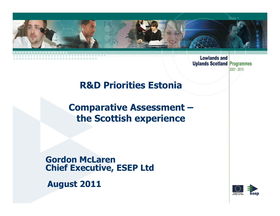

2007 - 2013

## **R&D Priorities Estonia**

## **Comparative Assessment –the Scottish experience**

**Gordon McLarenChief Executive, ESEP Ltd**

**August 2011**

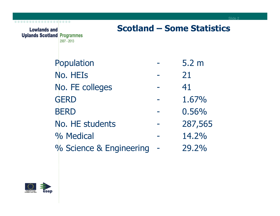| <b>Lowlands and</b><br><b>Uplands Scotland Programmes</b> | 2007 - 2013             |  | <b>Scotland – Some Statistics</b> |
|-----------------------------------------------------------|-------------------------|--|-----------------------------------|
|                                                           | Population              |  | 5.2 <sub>m</sub>                  |
|                                                           | No. HEIs                |  | 21                                |
|                                                           | No. FE colleges         |  | 41                                |
|                                                           | <b>GERD</b>             |  | 1.67%                             |
|                                                           | <b>BERD</b>             |  | 0.56%                             |
|                                                           | No. HE students         |  | 287,565                           |
|                                                           | % Medical               |  | 14.2%                             |
|                                                           | % Science & Engineering |  | 29.2%                             |

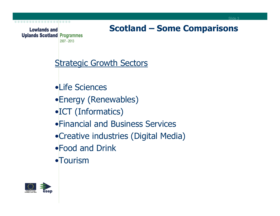\_\_\_\_\_\_\_\_\_\_\_\_\_\_\_**\_\_\_**\_\_

# **Scotland – Some Comparisons**

### **Strategic Growth Sectors**

- •Life Sciences
- •Energy (Renewables)
- •ICT (Informatics)
- •Financial and Business Services
- •Creative industries (Digital Media)
- •Food and Drink
- •Tourism

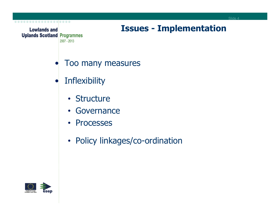

### **Issues - Implementation**

- •Too many measures
- •**Inflexibility** 
	- Structure
	- Governance
	- Processes
	- Policy linkages/co-ordination

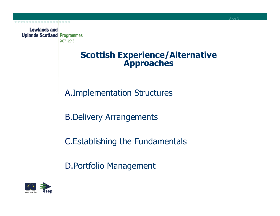#### **Scottish Experience/Alternative Approaches**

A.Implementation Structures

B.Delivery Arrangements

C.Establishing the Fundamentals

D.Portfolio Management

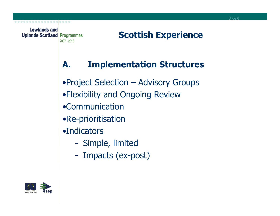## **Scottish Experience**

## **A. Implementation Structures**

- •Project Selection Advisory Groups
- •Flexibility and Ongoing Review
- •Communication
- •Re-prioritisation
- •Indicators
	- $\mathcal{L}^{\text{max}}_{\text{max}}$ Simple, limited
	- -- Impacts (ex-post)

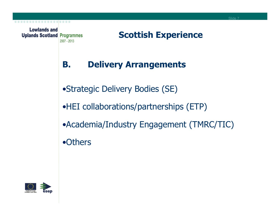

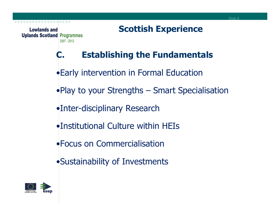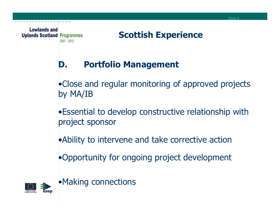. . . . . . . . . . . . . .

## **Scottish Experience**

## **D. Portfolio Management**

•Close and regular monitoring of approved projects by MA/IB

•Essential to develop constructive relationship withproject sponsor

•Ability to intervene and take corrective action

•Opportunity for ongoing project development



•Making connections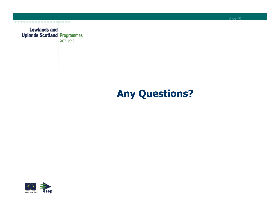